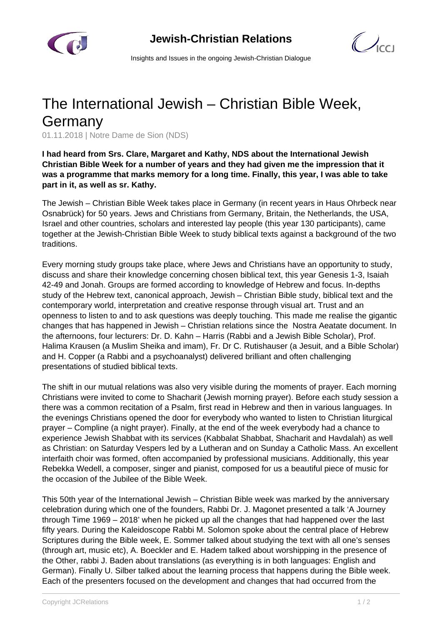

 $\mathcal{C}$ 

Insights and Issues in the ongoing Jewish-Christian Dialogue

## The International Jewish – Christian Bible Week, Germany

01.11.2018 | Notre Dame de Sion (NDS)

**I had heard from Srs. Clare, Margaret and Kathy, NDS about the International Jewish Christian Bible Week for a number of years and they had given me the impression that it was a programme that marks memory for a long time. Finally, this year, I was able to take part in it, as well as sr. Kathy.**

The Jewish – Christian Bible Week takes place in Germany (in recent years in Haus Ohrbeck near Osnabrück) for 50 years. Jews and Christians from Germany, Britain, the Netherlands, the USA, Israel and other countries, scholars and interested lay people (this year 130 participants), came together at the Jewish-Christian Bible Week to study biblical texts against a background of the two traditions.

Every morning study groups take place, where Jews and Christians have an opportunity to study, discuss and share their knowledge concerning chosen biblical text, this year Genesis 1-3, Isaiah 42-49 and Jonah. Groups are formed according to knowledge of Hebrew and focus. In-depths study of the Hebrew text, canonical approach, Jewish – Christian Bible study, biblical text and the contemporary world, interpretation and creative response through visual art. Trust and an openness to listen to and to ask questions was deeply touching. This made me realise the gigantic changes that has happened in Jewish – Christian relations since the Nostra Aeatate document. In the afternoons, four lecturers: Dr. D. Kahn – Harris (Rabbi and a Jewish Bible Scholar), Prof. Halima Krausen (a Muslim Sheika and imam), Fr. Dr C. Rutishauser (a Jesuit, and a Bible Scholar) and H. Copper (a Rabbi and a psychoanalyst) delivered brilliant and often challenging presentations of studied biblical texts.

The shift in our mutual relations was also very visible during the moments of prayer. Each morning Christians were invited to come to Shacharit (Jewish morning prayer). Before each study session a there was a common recitation of a Psalm, first read in Hebrew and then in various languages. In the evenings Christians opened the door for everybody who wanted to listen to Christian liturgical prayer – Compline (a night prayer). Finally, at the end of the week everybody had a chance to experience Jewish Shabbat with its services (Kabbalat Shabbat, Shacharit and Havdalah) as well as Christian: on Saturday Vespers led by a Lutheran and on Sunday a Catholic Mass. An excellent interfaith choir was formed, often accompanied by professional musicians. Additionally, this year Rebekka Wedell, a composer, singer and pianist, composed for us a beautiful piece of music for the occasion of the Jubilee of the Bible Week.

This 50th year of the International Jewish – Christian Bible week was marked by the anniversary celebration during which one of the founders, Rabbi Dr. J. Magonet presented a talk 'A Journey through Time 1969 – 2018' when he picked up all the changes that had happened over the last fifty years. During the Kaleidoscope Rabbi M. Solomon spoke about the central place of Hebrew Scriptures during the Bible week, E. Sommer talked about studying the text with all one's senses (through art, music etc), A. Boeckler and E. Hadem talked about worshipping in the presence of the Other, rabbi J. Baden about translations (as everything is in both languages: English and German). Finally U. Silber talked about the learning process that happens during the Bible week. Each of the presenters focused on the development and changes that had occurred from the